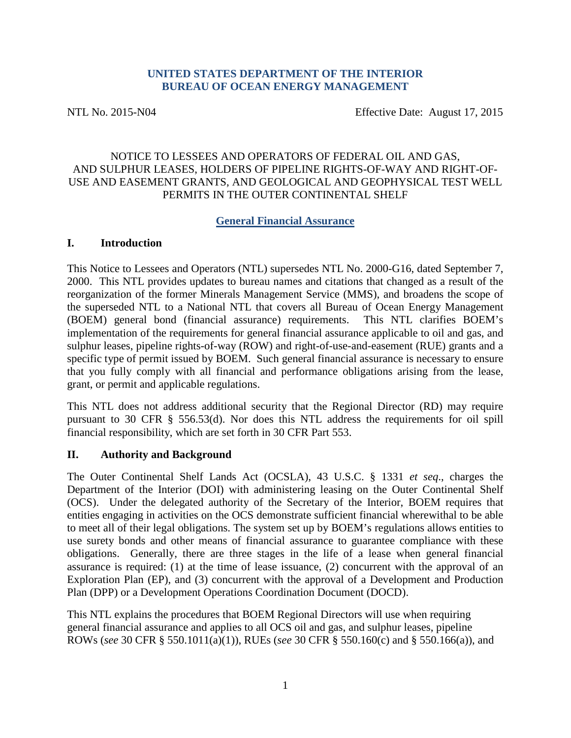## **UNITED STATES DEPARTMENT OF THE INTERIOR BUREAU OF OCEAN ENERGY MANAGEMENT**

NTL No. 2015-N04 Effective Date: August 17, 2015

#### NOTICE TO LESSEES AND OPERATORS OF FEDERAL OIL AND GAS, AND SULPHUR LEASES, HOLDERS OF PIPELINE RIGHTS-OF-WAY AND RIGHT-OF-USE AND EASEMENT GRANTS, AND GEOLOGICAL AND GEOPHYSICAL TEST WELL PERMITS IN THE OUTER CONTINENTAL SHELF

### **General Financial Assurance**

### **I. Introduction**

This Notice to Lessees and Operators (NTL) supersedes NTL No. 2000-G16, dated September 7, 2000. This NTL provides updates to bureau names and citations that changed as a result of the reorganization of the former Minerals Management Service (MMS), and broadens the scope of the superseded NTL to a National NTL that covers all Bureau of Ocean Energy Management (BOEM) general bond (financial assurance) requirements. This NTL clarifies BOEM's implementation of the requirements for general financial assurance applicable to oil and gas, and sulphur leases, pipeline rights-of-way (ROW) and right-of-use-and-easement (RUE) grants and a specific type of permit issued by BOEM. Such general financial assurance is necessary to ensure that you fully comply with all financial and performance obligations arising from the lease, grant, or permit and applicable regulations.

This NTL does not address additional security that the Regional Director (RD) may require pursuant to 30 CFR § 556.53(d). Nor does this NTL address the requirements for oil spill financial responsibility, which are set forth in 30 CFR Part 553.

# **II. Authority and Background**

The Outer Continental Shelf Lands Act (OCSLA), 43 U.S.C. § 1331 *et seq*., charges the Department of the Interior (DOI) with administering leasing on the Outer Continental Shelf (OCS). Under the delegated authority of the Secretary of the Interior, BOEM requires that entities engaging in activities on the OCS demonstrate sufficient financial wherewithal to be able to meet all of their legal obligations. The system set up by BOEM's regulations allows entities to use surety bonds and other means of financial assurance to guarantee compliance with these obligations. Generally, there are three stages in the life of a lease when general financial assurance is required: (1) at the time of lease issuance, (2) concurrent with the approval of an Exploration Plan (EP), and (3) concurrent with the approval of a Development and Production Plan (DPP) or a Development Operations Coordination Document (DOCD).

This NTL explains the procedures that BOEM Regional Directors will use when requiring general financial assurance and applies to all OCS oil and gas, and sulphur leases, pipeline ROWs (*see* 30 CFR § 550.1011(a)(1)), RUEs (*see* 30 CFR § 550.160(c) and § 550.166(a)), and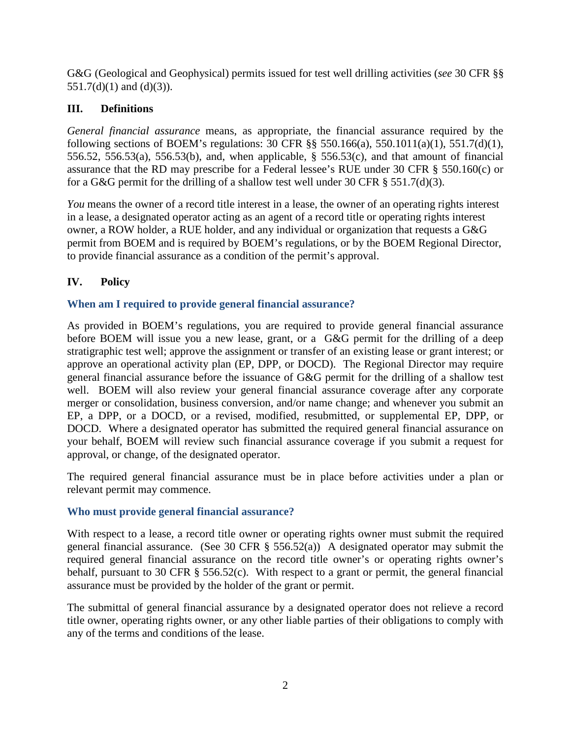G&G (Geological and Geophysical) permits issued for test well drilling activities (*see* 30 CFR §§ 551.7(d)(1) and (d)(3)).

# **III. Definitions**

*General financial assurance* means, as appropriate, the financial assurance required by the following sections of BOEM's regulations: 30 CFR §§ 550.166(a), 550.1011(a)(1), 551.7(d)(1), 556.52, 556.53(a), 556.53(b), and, when applicable, § 556.53(c), and that amount of financial assurance that the RD may prescribe for a Federal lessee's RUE under 30 CFR § 550.160(c) or for a G&G permit for the drilling of a shallow test well under 30 CFR  $\S$  551.7(d)(3).

*You* means the owner of a record title interest in a lease, the owner of an operating rights interest in a lease, a designated operator acting as an agent of a record title or operating rights interest owner, a ROW holder, a RUE holder, and any individual or organization that requests a G&G permit from BOEM and is required by BOEM's regulations, or by the BOEM Regional Director, to provide financial assurance as a condition of the permit's approval.

# **IV. Policy**

# **When am I required to provide general financial assurance?**

As provided in BOEM's regulations, you are required to provide general financial assurance before BOEM will issue you a new lease, grant, or a G&G permit for the drilling of a deep stratigraphic test well; approve the assignment or transfer of an existing lease or grant interest; or approve an operational activity plan (EP, DPP, or DOCD). The Regional Director may require general financial assurance before the issuance of G&G permit for the drilling of a shallow test well. BOEM will also review your general financial assurance coverage after any corporate merger or consolidation, business conversion, and/or name change; and whenever you submit an EP, a DPP, or a DOCD, or a revised, modified, resubmitted, or supplemental EP, DPP, or DOCD. Where a designated operator has submitted the required general financial assurance on your behalf, BOEM will review such financial assurance coverage if you submit a request for approval, or change, of the designated operator.

The required general financial assurance must be in place before activities under a plan or relevant permit may commence.

# **Who must provide general financial assurance?**

With respect to a lease, a record title owner or operating rights owner must submit the required general financial assurance. (See 30 CFR  $\S$  556.52(a)) A designated operator may submit the required general financial assurance on the record title owner's or operating rights owner's behalf, pursuant to 30 CFR § 556.52(c). With respect to a grant or permit, the general financial assurance must be provided by the holder of the grant or permit.

The submittal of general financial assurance by a designated operator does not relieve a record title owner, operating rights owner, or any other liable parties of their obligations to comply with any of the terms and conditions of the lease.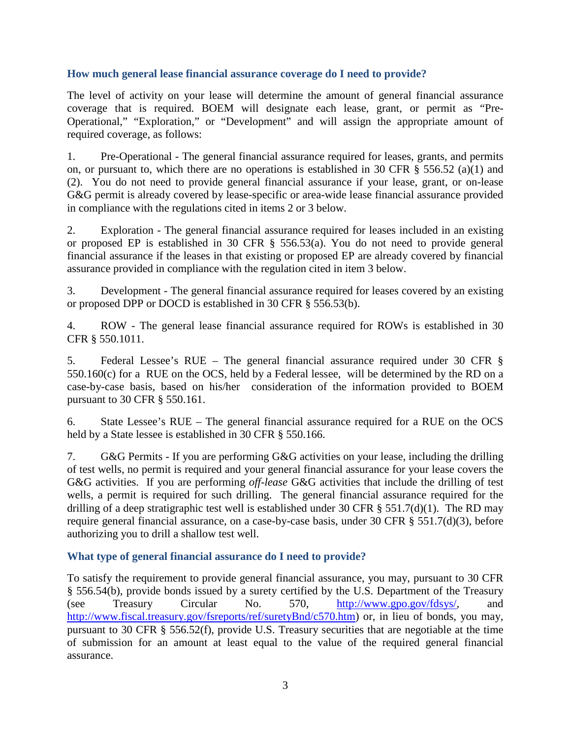## **How much general lease financial assurance coverage do I need to provide?**

The level of activity on your lease will determine the amount of general financial assurance coverage that is required. BOEM will designate each lease, grant, or permit as "Pre-Operational," "Exploration," or "Development" and will assign the appropriate amount of required coverage, as follows:

1. Pre-Operational - The general financial assurance required for leases, grants, and permits on, or pursuant to, which there are no operations is established in 30 CFR § 556.52 (a)(1) and (2). You do not need to provide general financial assurance if your lease, grant, or on-lease G&G permit is already covered by lease-specific or area-wide lease financial assurance provided in compliance with the regulations cited in items 2 or 3 below.

2. Exploration - The general financial assurance required for leases included in an existing or proposed EP is established in 30 CFR § 556.53(a). You do not need to provide general financial assurance if the leases in that existing or proposed EP are already covered by financial assurance provided in compliance with the regulation cited in item 3 below.

3. Development - The general financial assurance required for leases covered by an existing or proposed DPP or DOCD is established in 30 CFR § 556.53(b).

4. ROW - The general lease financial assurance required for ROWs is established in 30 CFR § 550.1011.

5. Federal Lessee's RUE – The general financial assurance required under 30 CFR § 550.160(c) for a RUE on the OCS, held by a Federal lessee, will be determined by the RD on a case-by-case basis, based on his/her consideration of the information provided to BOEM pursuant to 30 CFR § 550.161.

6. State Lessee's RUE – The general financial assurance required for a RUE on the OCS held by a State lessee is established in 30 CFR § 550.166.

7. G&G Permits - If you are performing G&G activities on your lease, including the drilling of test wells, no permit is required and your general financial assurance for your lease covers the G&G activities. If you are performing *off-lease* G&G activities that include the drilling of test wells, a permit is required for such drilling. The general financial assurance required for the drilling of a deep stratigraphic test well is established under 30 CFR  $\S$  551.7(d)(1). The RD may require general financial assurance, on a case-by-case basis, under 30 CFR § 551.7(d)(3), before authorizing you to drill a shallow test well.

# **What type of general financial assurance do I need to provide?**

To satisfy the requirement to provide general financial assurance, you may, pursuant to 30 CFR § 556.54(b), provide bonds issued by a surety certified by the U.S. Department of the Treasury (see Treasury Circular No. 570, [http://www.gpo.gov/fdsys/,](http://www.gpo.gov/fdsys/) and [http://www.fiscal.treasury.gov/fsreports/ref/suretyBnd/c570.htm\)](http://www.fiscal.treasury.gov/fsreports/ref/suretyBnd/c570.htm) or, in lieu of bonds, you may, pursuant to 30 CFR § 556.52(f), provide U.S. Treasury securities that are negotiable at the time of submission for an amount at least equal to the value of the required general financial assurance.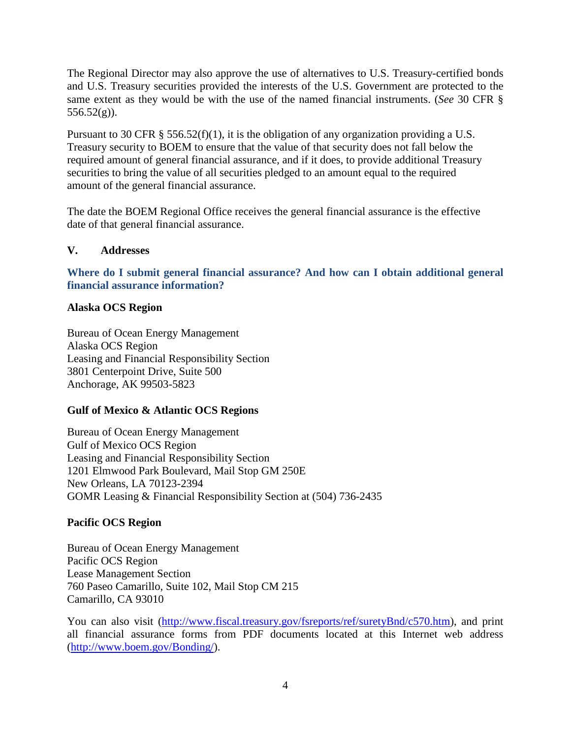The Regional Director may also approve the use of alternatives to U.S. Treasury-certified bonds and U.S. Treasury securities provided the interests of the U.S. Government are protected to the same extent as they would be with the use of the named financial instruments. (*See* 30 CFR §  $556.52(g)$ ).

Pursuant to 30 CFR § 556.52(f)(1), it is the obligation of any organization providing a U.S. Treasury security to BOEM to ensure that the value of that security does not fall below the required amount of general financial assurance, and if it does, to provide additional Treasury securities to bring the value of all securities pledged to an amount equal to the required amount of the general financial assurance.

The date the BOEM Regional Office receives the general financial assurance is the effective date of that general financial assurance.

### **V. Addresses**

# **Where do I submit general financial assurance? And how can I obtain additional general financial assurance information?**

#### **Alaska OCS Region**

Bureau of Ocean Energy Management Alaska OCS Region Leasing and Financial Responsibility Section 3801 Centerpoint Drive, Suite 500 Anchorage, AK 99503-5823

#### **Gulf of Mexico & Atlantic OCS Regions**

Bureau of Ocean Energy Management Gulf of Mexico OCS Region Leasing and Financial Responsibility Section 1201 Elmwood Park Boulevard, Mail Stop GM 250E New Orleans, LA 70123-2394 GOMR Leasing & Financial Responsibility Section at (504) 736-2435

# **Pacific OCS Region**

Bureau of Ocean Energy Management Pacific OCS Region Lease Management Section 760 Paseo Camarillo, Suite 102, Mail Stop CM 215 Camarillo, CA 93010

You can also visit [\(http://www.fiscal.treasury.gov/fsreports/ref/suretyBnd/c570.htm\)](http://www.fiscal.treasury.gov/fsreports/ref/suretyBnd/c570.htm), and print all financial assurance forms from PDF documents located at this Internet web address [\(http://www.boem.gov/Bonding/\)](http://www.boem.gov/Bonding/).